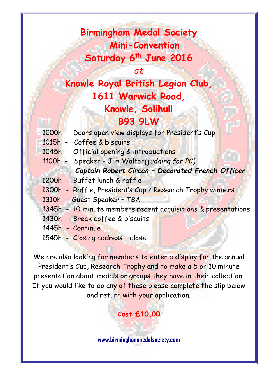## **Birmingham Medal Society Mini-Convention Saturday 6th June 2016**

*at*

## **Knowle Royal British Legion Club, 1611 Warwick Road, Knowle, Solihull B93 9LW**

- 1000h Doors open view displays for President's Cup
- 1015h Coffee & biscuits
- 1045h Official opening & introductions
- 1100h Speaker Jim Walton*(judging for PC) Captain Robert Circan – Decorated French Officer*
- 1200h Buffet lunch & raffle
- 1300h Raffle, President's Cup / Research Trophy winners
- 1310h Guest Speaker TBA
- 1345h 10 minute members recent acquisitions & presentations
- 1430h Break coffee & biscuits
- 1445h Continue
- 1545h Closing address close

We are also looking for members to enter a display for the annual President's Cup, Research Trophy and to make a 5 or 10 minute presentation about medals or groups they have in their collection. If you would like to do any of these please complete the slip below and return with your application.

**www.birminghammedalsociety.com** 

**Cost £10.00**